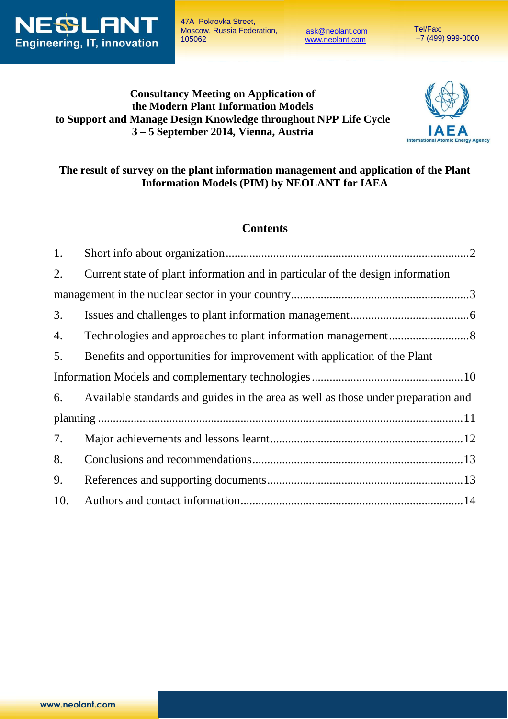

47А Pokrovka Street, Moscow, Russia Federation, 105062

[ask@neolant.com](mailto:ask@neolant.com) [www.neolant.c](http://www.neolant.ru/)om

 Tel/Fax: +7 (499) 999-0000

# **Consultancy Meeting on Application of the Modern Plant Information Models to Support and Manage Design Knowledge throughout NPP Life Cycle 3 – 5 September 2014, Vienna, Austria**



## **The result of survey on the plant information management and application of the Plant Information Models (PIM) by NEOLANT for IAEA**

## **Contents**

| 1.  |                                                                                   |  |
|-----|-----------------------------------------------------------------------------------|--|
| 2.  | Current state of plant information and in particular of the design information    |  |
|     |                                                                                   |  |
| 3.  |                                                                                   |  |
| 4.  |                                                                                   |  |
| 5.  | Benefits and opportunities for improvement with application of the Plant          |  |
|     |                                                                                   |  |
| 6.  | Available standards and guides in the area as well as those under preparation and |  |
|     |                                                                                   |  |
| 7.  |                                                                                   |  |
| 8.  |                                                                                   |  |
| 9.  |                                                                                   |  |
| 10. |                                                                                   |  |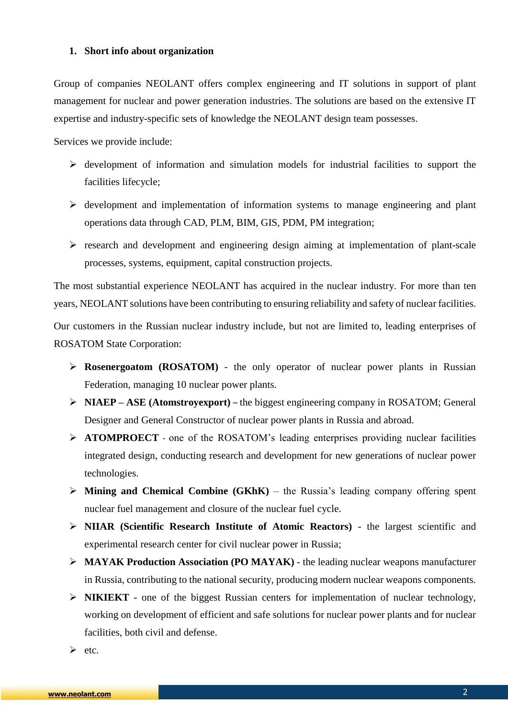#### <span id="page-1-0"></span>**1. Short info about organization**

Group of companies NEOLANT offers complex engineering and IT solutions in support of plant management for nuclear and power generation industries. The solutions are based on the extensive IT expertise and industry-specific sets of knowledge the NEOLANT design team possesses.

Services we provide include:

- $\triangleright$  development of information and simulation models for industrial facilities to support the facilities lifecycle;
- $\triangleright$  development and implementation of information systems to manage engineering and plant operations data through CAD, PLM, BIM, GIS, PDM, PM integration;
- $\triangleright$  research and development and engineering design aiming at implementation of plant-scale processes, systems, equipment, capital construction projects.

The most substantial experience NEOLANT has acquired in the nuclear industry. For more than ten years, NEOLANT solutions have been contributing to ensuring reliability and safety of nuclear facilities.

Our customers in the Russian nuclear industry include, but not are limited to, leading enterprises of ROSATOM State Corporation:

- **[Rosenergoatom](https://portal.rosatom.local/wps/PA_WCM_Authoring_UI/jsp/html/doc.html) (ROSATOM)** the only operator of nuclear power plants in Russian Federation, managing 10 nuclear power plants.
- **NIAEP – ASE (Atomstroyexport)** the biggest engineering company in ROSATOM; General Designer and General Constructor of nuclear power plants in Russia and abroad.
- **ATOMPROECT** one of the ROSATOM's leading enterprises providing nuclear facilities integrated design, conducting research and development for new generations of nuclear power technologies.
- **Mining and Chemical Combine (GKhK)** the Russia's leading company offering spent nuclear fuel management and closure of the nuclear fuel cycle.
- **NIIAR (Scientific Research Institute of Atomic Reactors)** the largest scientific and experimental research center for civil nuclear power in Russia;
- **MAYAK Production Association (PO MAYAK)** the leading nuclear weapons manufacturer in Russia, contributing to the national security, producing modern nuclear weapons components.
- **NIKIEKT** one of the biggest Russian centers for implementation of nuclear technology, working on development of efficient and safe solutions for nuclear power plants and for nuclear facilities, both civil and defense.

 $\triangleright$  etc.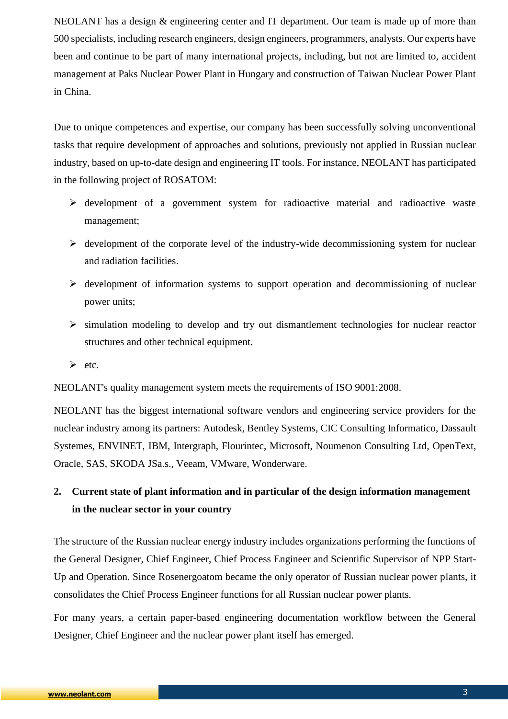NEOLANT has a design & engineering center and IT department. Our team is made up of more than 500 specialists, including research engineers, design engineers, programmers, analysts. Our experts have been and continue to be part of many international projects, including, but not are limited to, accident management at Paks Nuclear Power Plant in Hungary and construction of Taiwan Nuclear Power Plant in China.

Due to unique competences and expertise, our company has been successfully solving unconventional tasks that require development of approaches and solutions, previously not applied in Russian nuclear industry, based on up-to-date design and engineering IT tools. For instance, NEOLANT has participated in the following project of ROSATOM:

- $\triangleright$  development of a government system for radioactive material and radioactive waste management;
- $\triangleright$  development of the corporate level of the industry-wide decommissioning system for nuclear and radiation facilities.
- $\triangleright$  development of information systems to support operation and decommissioning of nuclear power units;
- $\triangleright$  simulation modeling to develop and try out dismantlement technologies for nuclear reactor structures and other technical equipment.
- $\triangleright$  etc.

NEOLANT's quality management system meets the requirements of ISO 9001:2008.

NEOLANT has the biggest international software vendors and engineering service providers for the nuclear industry among its partners: Autodesk, Bentley Systems, CIC Consulting Informatico, Dassault Systemes, ENVINET, IBM, Intergraph, Flourintec, Microsoft, Noumenon Consulting Ltd, OpenText, Oracle, SAS, SKODA JSa.s., Veeam, VMware, Wonderware.

# <span id="page-2-0"></span>**2. Current state of plant information and in particular of the design information management in the nuclear sector in your country**

The structure of the Russian nuclear energy industry includes organizations performing the functions of the General Designer, Chief Engineer, Chief Process Engineer and Scientific Supervisor of NPP Start-Up and Operation. Since Rosenergoatom became the only operator of Russian nuclear power plants, it consolidates the Chief Process Engineer functions for all Russian nuclear power plants.

For many years, a certain paper-based engineering documentation workflow between the General Designer, Chief Engineer and the nuclear power plant itself has emerged.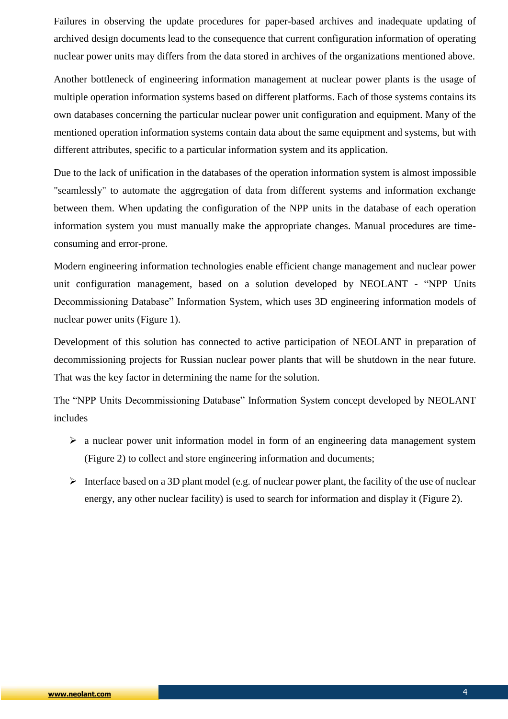Failures in observing the update procedures for paper-based archives and inadequate updating of archived design documents lead to the consequence that current configuration information of operating nuclear power units may differs from the data stored in archives of the organizations mentioned above.

Another bottleneck of engineering information management at nuclear power plants is the usage of multiple operation information systems based on different platforms. Each of those systems contains its own databases concerning the particular nuclear power unit configuration and equipment. Many of the mentioned operation information systems contain data about the same equipment and systems, but with different attributes, specific to a particular information system and its application.

Due to the lack of unification in the databases of the operation information system is almost impossible "seamlessly" to automate the aggregation of data from different systems and information exchange between them. When updating the configuration of the NPP units in the database of each operation information system you must manually make the appropriate changes. Manual procedures are timeconsuming and error-prone.

Modern engineering information technologies enable efficient change management and nuclear power unit configuration management, based on a solution developed by NEOLANT - "NPP Units Decommissioning Database" Information System, which uses 3D engineering information models of nuclear power units (Figure 1).

Development of this solution has connected to active participation of NEOLANT in preparation of decommissioning projects for Russian nuclear power plants that will be shutdown in the near future. That was the key factor in determining the name for the solution.

The "NPP Units Decommissioning Database" Information System concept developed by NEOLANT includes

- $\triangleright$  a nuclear power unit information model in form of an engineering data management system (Figure 2) to collect and store engineering information and documents;
- Interface based on a 3D plant model (e.g. of nuclear power plant, the facility of the use of nuclear energy, any other nuclear facility) is used to search for information and display it (Figure 2).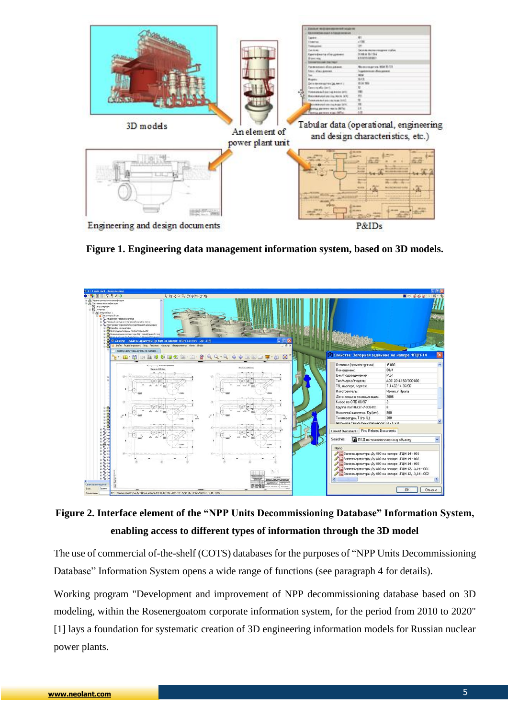

**Figure 1. Engineering data management information system, based on 3D models.**



**Figure 2. Interface element of the "NPP Units Decommissioning Database" Information System, enabling access to different types of information through the 3D model**

The use of commercial of-the-shelf (COTS) databases for the purposes of "NPP Units Decommissioning Database" Information System opens a wide range of functions (see paragraph 4 for details).

Working program "Development and improvement of NPP decommissioning database based on 3D modeling, within the Rosenergoatom corporate information system, for the period from 2010 to 2020" [1] lays a foundation for systematic creation of 3D engineering information models for Russian nuclear power plants.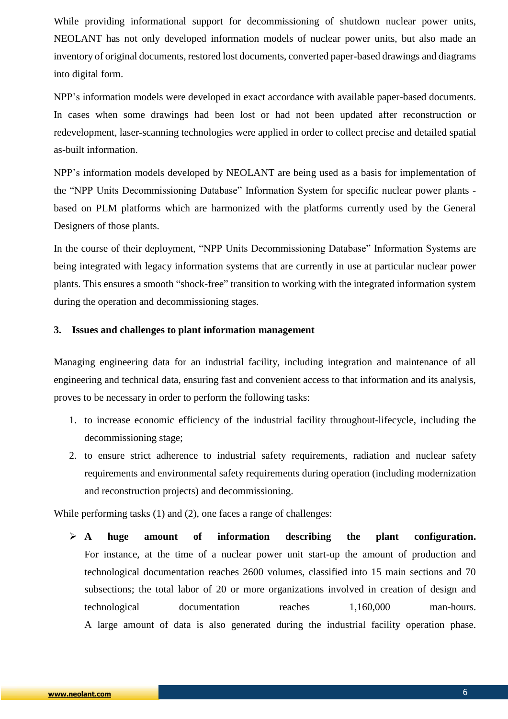While providing informational support for decommissioning of shutdown nuclear power units, NEOLANT has not only developed information models of nuclear power units, but also made an inventory of original documents, restored lost documents, converted paper-based drawings and diagrams into digital form.

NPP's information models were developed in exact accordance with available paper-based documents. In cases when some drawings had been lost or had not been updated after reconstruction or redevelopment, laser-scanning technologies were applied in order to collect precise and detailed spatial as-built information.

NPP's information models developed by NEOLANT are being used as a basis for implementation of the "NPP Units Decommissioning Database" Information System for specific nuclear power plants based on PLM platforms which are harmonized with the platforms currently used by the General Designers of those plants.

In the course of their deployment, "NPP Units Decommissioning Database" Information Systems are being integrated with legacy information systems that are currently in use at particular nuclear power plants. This ensures a smooth "shock-free" transition to working with the integrated information system during the operation and decommissioning stages.

#### <span id="page-5-0"></span>**3. Issues and challenges to plant information management**

Managing engineering data for an industrial facility, including integration and maintenance of all engineering and technical data, ensuring fast and convenient access to that information and its analysis, proves to be necessary in order to perform the following tasks:

- 1. to increase economic efficiency of the industrial facility throughout-lifecycle, including the decommissioning stage;
- 2. to ensure strict adherence to industrial safety requirements, radiation and nuclear safety requirements and environmental safety requirements during operation (including modernization and reconstruction projects) and decommissioning.

While performing tasks (1) and (2), one faces a range of challenges:

 **A huge amount of information describing the plant configuration.** For instance, at the time of a nuclear power unit start-up the amount of production and technological documentation reaches 2600 volumes, classified into 15 main sections and 70 subsections; the total labor of 20 or more organizations involved in creation of design and technological documentation reaches 1,160,000 man-hours. A large amount of data is also generated during the industrial facility operation phase.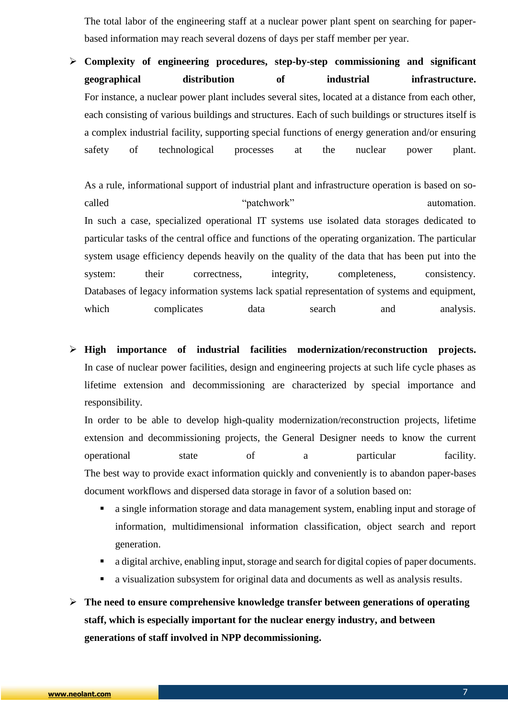The total labor of the engineering staff at a nuclear power plant spent on searching for paperbased information may reach several dozens of days per staff member per year.

 **Complexity of engineering procedures, step-by-step commissioning and significant geographical distribution of industrial infrastructure.** For instance, a nuclear power plant includes several sites, located at a distance from each other, each consisting of various buildings and structures. Each of such buildings or structures itself is a complex industrial facility, supporting special functions of energy generation and/or ensuring safety of technological processes at the nuclear power plant.

As a rule, informational support of industrial plant and infrastructure operation is based on socalled "patchwork" automation. In such a case, specialized operational IT systems use isolated data storages dedicated to particular tasks of the central office and functions of the operating organization. The particular system usage efficiency depends heavily on the quality of the data that has been put into the system: their correctness, integrity, completeness, consistency. Databases of legacy information systems lack spatial representation of systems and equipment, which complicates data search and analysis.

 **High importance of industrial facilities modernization/reconstruction projects.** In case of nuclear power facilities, design and engineering projects at such life cycle phases as lifetime extension and decommissioning are characterized by special importance and responsibility.

In order to be able to develop high-quality modernization/reconstruction projects, lifetime extension and decommissioning projects, the General Designer needs to know the current operational state of a particular facility. The best way to provide exact information quickly and conveniently is to abandon paper-bases document workflows and dispersed data storage in favor of a solution based on:

- a single information storage and data management system, enabling input and storage of information, multidimensional information classification, object search and report generation.
- a digital archive, enabling input, storage and search for digital copies of paper documents.
- a visualization subsystem for original data and documents as well as analysis results.
- **The need to ensure comprehensive knowledge transfer between generations of operating staff, which is especially important for the nuclear energy industry, and between generations of staff involved in NPP decommissioning.**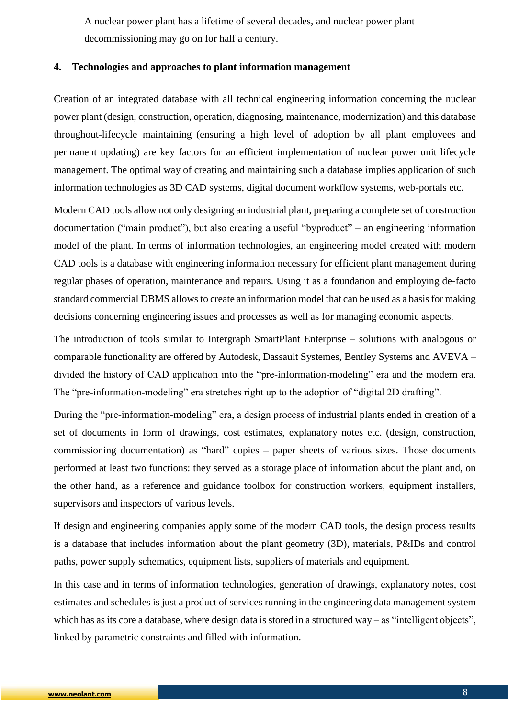A nuclear power plant has a lifetime of several decades, and nuclear power plant decommissioning may go on for half a century.

#### <span id="page-7-0"></span>**4. Technologies and approaches to plant information management**

Creation of an integrated database with all technical engineering information concerning the nuclear power plant (design, construction, operation, diagnosing, maintenance, modernization) and this database throughout-lifecycle maintaining (ensuring a high level of adoption by all plant employees and permanent updating) are key factors for an efficient implementation of nuclear power unit lifecycle management. The optimal way of creating and maintaining such a database implies application of such information technologies as 3D CAD systems, digital document workflow systems, web-portals etc.

Modern CAD tools allow not only designing an industrial plant, preparing a complete set of construction documentation ("main product"), but also creating a useful "byproduct" – an engineering information model of the plant. In terms of information technologies, an engineering model created with modern CAD tools is a database with engineering information necessary for efficient plant management during regular phases of operation, maintenance and repairs. Using it as a foundation and employing de-facto standard commercial DBMS allows to create an information model that can be used as a basis for making decisions concerning engineering issues and processes as well as for managing economic aspects.

The introduction of tools similar to Intergraph SmartPlant Enterprise – solutions with analogous or comparable functionality are offered by Autodesk, Dassault Systemes, Bentley Systems and AVEVA – divided the history of CAD application into the "pre-information-modeling" era and the modern era. The "pre-information-modeling" era stretches right up to the adoption of "digital 2D drafting".

During the "pre-information-modeling" era, a design process of industrial plants ended in creation of a set of documents in form of drawings, cost estimates, explanatory notes etc. (design, construction, commissioning documentation) as "hard" copies – paper sheets of various sizes. Those documents performed at least two functions: they served as a storage place of information about the plant and, on the other hand, as a reference and guidance toolbox for construction workers, equipment installers, supervisors and inspectors of various levels.

If design and engineering companies apply some of the modern CAD tools, the design process results is a database that includes information about the plant geometry (3D), materials, P&IDs and control paths, power supply schematics, equipment lists, suppliers of materials and equipment.

In this case and in terms of information technologies, generation of drawings, explanatory notes, cost estimates and schedules is just a product of services running in the engineering data management system which has as its core a database, where design data is stored in a structured way – as "intelligent objects", linked by parametric constraints and filled with information.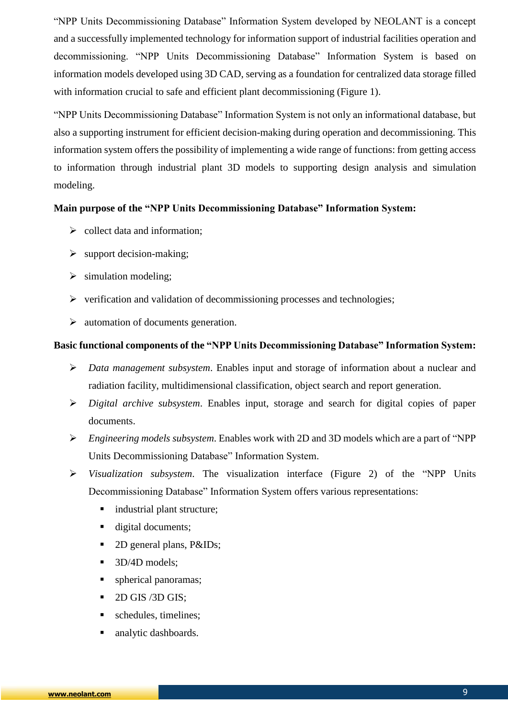"NPP Units Decommissioning Database" Information System developed by NEOLANT is a concept and a successfully implemented technology for information support of industrial facilities operation and decommissioning. "NPP Units Decommissioning Database" Information System is based on information models developed using 3D CAD, serving as a foundation for centralized data storage filled with information crucial to safe and efficient plant decommissioning (Figure 1).

"NPP Units Decommissioning Database" Information System is not only an informational database, but also a supporting instrument for efficient decision-making during operation and decommissioning. This information system offers the possibility of implementing a wide range of functions: from getting access to information through industrial plant 3D models to supporting design analysis and simulation modeling.

#### **Main purpose of the "NPP Units Decommissioning Database" Information System:**

- $\triangleright$  collect data and information;
- $\triangleright$  support decision-making;
- $\triangleright$  simulation modeling;
- $\triangleright$  verification and validation of decommissioning processes and technologies;
- $\triangleright$  automation of documents generation.

### **Basic functional components of the "NPP Units Decommissioning Database" Information System:**

- *Data management subsystem*. Enables input and storage of information about a nuclear and radiation facility, multidimensional classification, object search and report generation.
- *Digital archive subsystem*. Enables input, storage and search for digital copies of paper documents.
- *Engineering models subsystem*. Enables work with 2D and 3D models which are a part of "NPP Units Decommissioning Database" Information System.
- *Visualization subsystem*. The visualization interface (Figure 2) of the "NPP Units Decommissioning Database" Information System offers various representations:
	- industrial plant structure;
	- digital documents;
	- 2D general plans, P&IDs;
	- 3D/4D models;
	- **spherical panoramas;**
	- $\blacksquare$  2D GIS /3D GIS;
	- schedules, timelines;
	- analytic dashboards.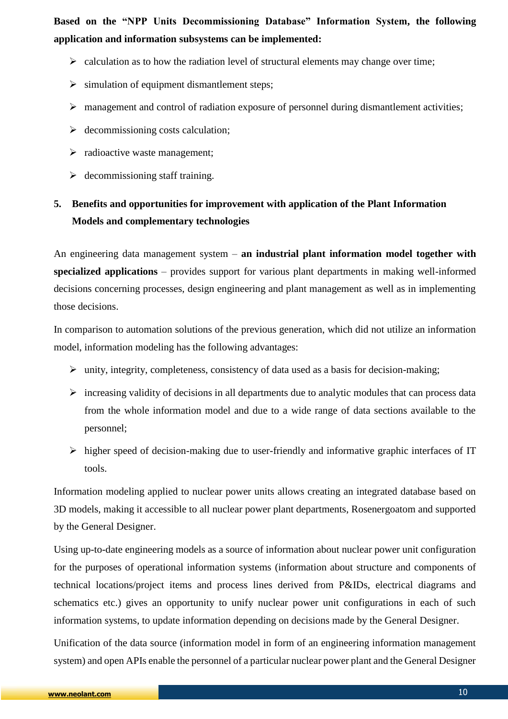**Based on the "NPP Units Decommissioning Database" Information System, the following application and information subsystems can be implemented:**

- $\triangleright$  calculation as to how the radiation level of structural elements may change over time;
- $\triangleright$  simulation of equipment dismantlement steps;
- management and control of radiation exposure of personnel during dismantlement activities;
- $\triangleright$  decommissioning costs calculation:
- $\triangleright$  radioactive waste management;
- $\triangleright$  decommissioning staff training.

# <span id="page-9-0"></span>**5. Benefits and opportunities for improvement with application of the Plant Information Models and complementary technologies**

An engineering data management system – **an industrial plant information model together with specialized applications** – provides support for various plant departments in making well-informed decisions concerning processes, design engineering and plant management as well as in implementing those decisions.

In comparison to automation solutions of the previous generation, which did not utilize an information model, information modeling has the following advantages:

- $\triangleright$  unity, integrity, completeness, consistency of data used as a basis for decision-making;
- $\triangleright$  increasing validity of decisions in all departments due to analytic modules that can process data from the whole information model and due to a wide range of data sections available to the personnel;
- $\triangleright$  higher speed of decision-making due to user-friendly and informative graphic interfaces of IT tools.

Information modeling applied to nuclear power units allows creating an integrated database based on 3D models, making it accessible to all nuclear power plant departments, Rosenergoatom and supported by the General Designer.

Using up-to-date engineering models as a source of information about nuclear power unit configuration for the purposes of operational information systems (information about structure and components of technical locations/project items and process lines derived from P&IDs, electrical diagrams and schematics etc.) gives an opportunity to unify nuclear power unit configurations in each of such information systems, to update information depending on decisions made by the General Designer.

Unification of the data source (information model in form of an engineering information management system) and open APIs enable the personnel of a particular nuclear power plant and the General Designer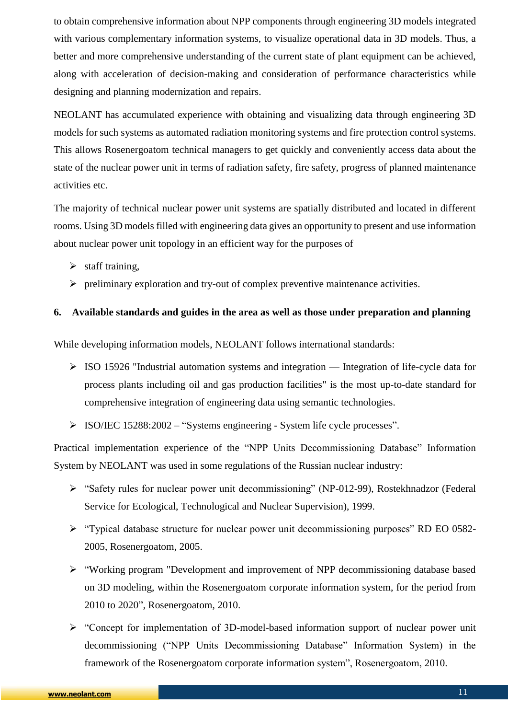to obtain comprehensive information about NPP components through engineering 3D models integrated with various complementary information systems, to visualize operational data in 3D models. Thus, a better and more comprehensive understanding of the current state of plant equipment can be achieved, along with acceleration of decision-making and consideration of performance characteristics while designing and planning modernization and repairs.

NEOLANT has accumulated experience with obtaining and visualizing data through engineering 3D models for such systems as automated radiation monitoring systems and fire protection control systems. This allows Rosenergoatom technical managers to get quickly and conveniently access data about the state of the nuclear power unit in terms of radiation safety, fire safety, progress of planned maintenance activities etc.

The majority of technical nuclear power unit systems are spatially distributed and located in different rooms. Using 3D models filled with engineering data gives an opportunity to present and use information about nuclear power unit topology in an efficient way for the purposes of

- $\triangleright$  staff training,
- $\triangleright$  preliminary exploration and try-out of complex preventive maintenance activities.

### <span id="page-10-0"></span>**6. Available standards and guides in the area as well as those under preparation and planning**

While developing information models, NEOLANT follows international standards:

- $\triangleright$  ISO 15926 "Industrial automation systems and integration Integration of life-cycle data for process plants including oil and gas production facilities" is the most up-to-date standard for comprehensive integration of engineering data using semantic technologies.
- ISO/IEC 15288:2002 "Systems engineering System life cycle processes".

Practical implementation experience of the "NPP Units Decommissioning Database" Information System by NEOLANT was used in some regulations of the Russian nuclear industry:

- "Safety rules for nuclear power unit decommissioning" (NP-012-99), Rostekhnadzor (Federal Service for Ecological, Technological and Nuclear Supervision), 1999.
- "Typical database structure for nuclear power unit decommissioning purposes" RD EO 0582- 2005, Rosenergoatom, 2005.
- "Working program "Development and improvement of NPP decommissioning database based on 3D modeling, within the Rosenergoatom corporate information system, for the period from 2010 to 2020", Rosenergoatom, 2010.
- "Concept for implementation of 3D-model-based information support of nuclear power unit decommissioning ("NPP Units Decommissioning Database" Information System) in the framework of the Rosenergoatom corporate information system", Rosenergoatom, 2010.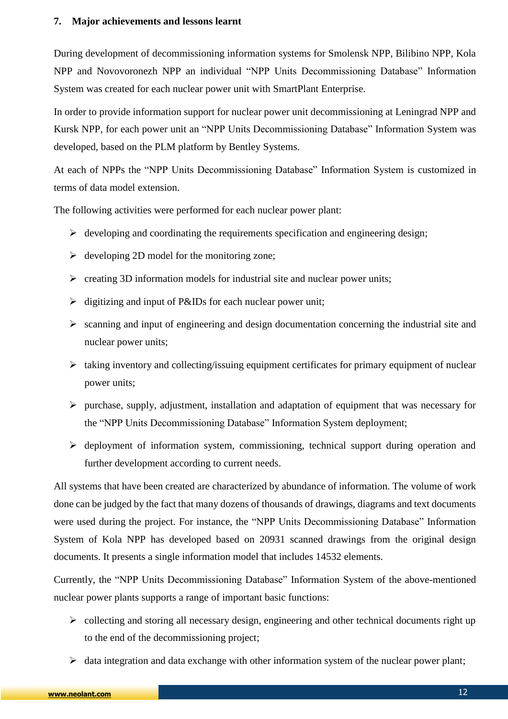#### <span id="page-11-0"></span>**7. Major achievements and lessons learnt**

During development of decommissioning information systems for Smolensk NPP, Bilibino NPP, Kola NPP and Novovoronezh NPP an individual "NPP Units Decommissioning Database" Information System was created for each nuclear power unit with SmartPlant Enterprise.

In order to provide information support for nuclear power unit decommissioning at Leningrad NPP and Kursk NPP, for each power unit an "NPP Units Decommissioning Database" Information System was developed, based on the PLM platform by Bentley Systems.

At each of NPPs the "NPP Units Decommissioning Database" Information System is customized in terms of data model extension.

The following activities were performed for each nuclear power plant:

- $\triangleright$  developing and coordinating the requirements specification and engineering design;
- $\triangleright$  developing 2D model for the monitoring zone;
- $\triangleright$  creating 3D information models for industrial site and nuclear power units;
- $\triangleright$  digitizing and input of P&IDs for each nuclear power unit;
- $\triangleright$  scanning and input of engineering and design documentation concerning the industrial site and nuclear power units;
- $\triangleright$  taking inventory and collecting/issuing equipment certificates for primary equipment of nuclear power units;
- $\triangleright$  purchase, supply, adjustment, installation and adaptation of equipment that was necessary for the "NPP Units Decommissioning Database" Information System deployment;
- $\triangleright$  deployment of information system, commissioning, technical support during operation and further development according to current needs.

All systems that have been created are characterized by abundance of information. The volume of work done can be judged by the fact that many dozens of thousands of drawings, diagrams and text documents were used during the project. For instance, the "NPP Units Decommissioning Database" Information System of Kola NPP has developed based on 20931 scanned drawings from the original design documents. It presents a single information model that includes 14532 elements.

Currently, the "NPP Units Decommissioning Database" Information System of the above-mentioned nuclear power plants supports a range of important basic functions:

- $\triangleright$  collecting and storing all necessary design, engineering and other technical documents right up to the end of the decommissioning project;
- $\triangleright$  data integration and data exchange with other information system of the nuclear power plant;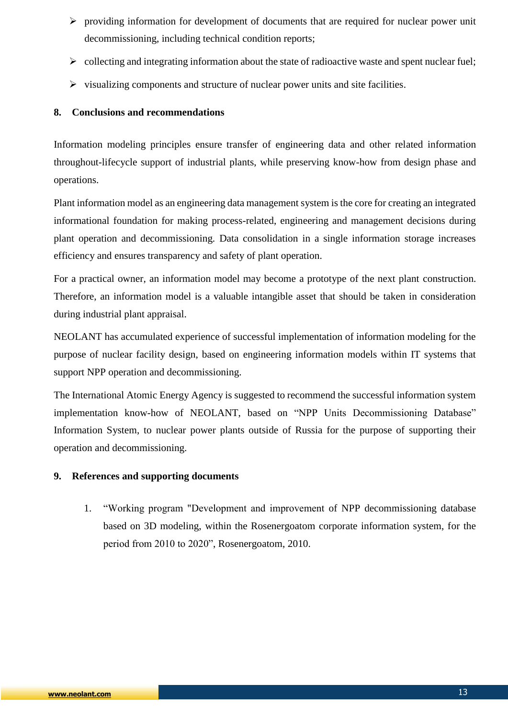- $\triangleright$  providing information for development of documents that are required for nuclear power unit decommissioning, including technical condition reports;
- $\triangleright$  collecting and integrating information about the state of radioactive waste and spent nuclear fuel:
- $\triangleright$  visualizing components and structure of nuclear power units and site facilities.

### <span id="page-12-0"></span>**8. Conclusions and recommendations**

Information modeling principles ensure transfer of engineering data and other related information throughout-lifecycle support of industrial plants, while preserving know-how from design phase and operations.

Plant information model as an engineering data management system is the core for creating an integrated informational foundation for making process-related, engineering and management decisions during plant operation and decommissioning. Data consolidation in a single information storage increases efficiency and ensures transparency and safety of plant operation.

For a practical owner, an information model may become a prototype of the next plant construction. Therefore, an information model is a valuable intangible asset that should be taken in consideration during industrial plant appraisal.

NEOLANT has accumulated experience of successful implementation of information modeling for the purpose of nuclear facility design, based on engineering information models within IT systems that support NPP operation and decommissioning.

The International Atomic Energy Agency is suggested to recommend the successful information system implementation know-how of NEOLANT, based on "NPP Units Decommissioning Database" Information System, to nuclear power plants outside of Russia for the purpose of supporting their operation and decommissioning.

#### <span id="page-12-1"></span>**9. References and supporting documents**

1. "Working program "Development and improvement of NPP decommissioning database based on 3D modeling, within the Rosenergoatom corporate information system, for the period from 2010 to 2020", Rosenergoatom, 2010.